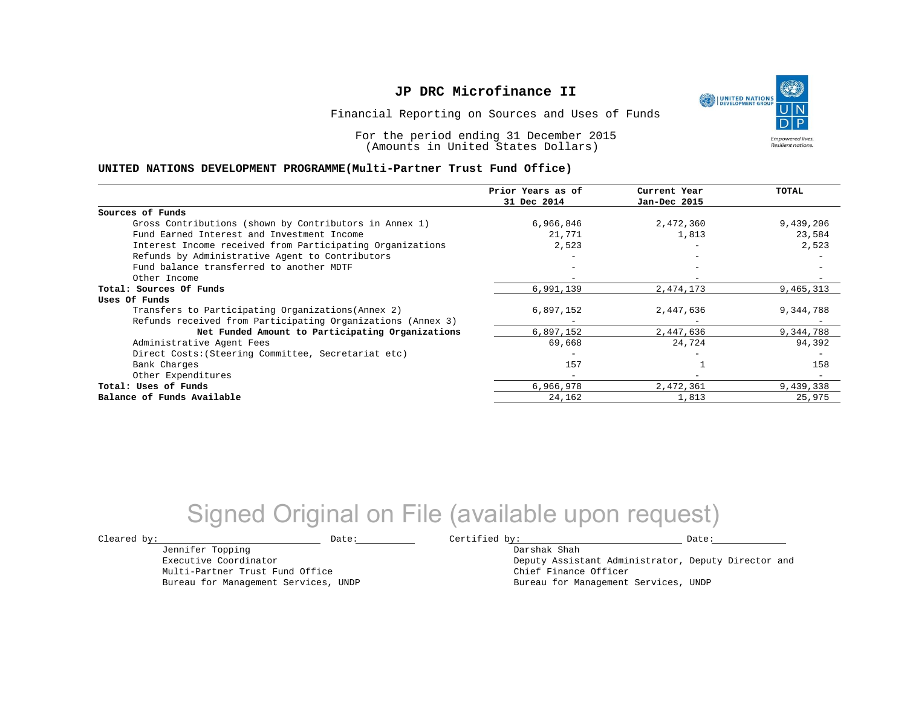UNITED NATIONS **Empowered lives Resilient nations.** 

Financial Reporting on Sources and Uses of Funds

For the period ending 31 December 2015 (Amounts in United States Dollars)

#### **UNITED NATIONS DEVELOPMENT PROGRAMME(Multi-Partner Trust Fund Office)**

|                                                             | Prior Years as of<br>31 Dec 2014 | Current Year<br>Jan-Dec 2015 | TOTAL     |
|-------------------------------------------------------------|----------------------------------|------------------------------|-----------|
|                                                             |                                  |                              |           |
| Sources of Funds                                            |                                  |                              |           |
| Gross Contributions (shown by Contributors in Annex 1)      | 6,966,846                        | 2,472,360                    | 9,439,206 |
| Fund Earned Interest and Investment Income                  | 21,771                           | 1,813                        | 23,584    |
| Interest Income received from Participating Organizations   | 2,523                            |                              | 2,523     |
| Refunds by Administrative Agent to Contributors             |                                  | $\overline{\phantom{0}}$     |           |
| Fund balance transferred to another MDTF                    |                                  |                              |           |
| Other Income                                                |                                  |                              |           |
| Total: Sources Of Funds                                     | 6,991,139                        | 2,474,173                    | 9,465,313 |
| Uses Of Funds                                               |                                  |                              |           |
| Transfers to Participating Organizations (Annex 2)          | 6,897,152                        | 2,447,636                    | 9,344,788 |
| Refunds received from Participating Organizations (Annex 3) |                                  |                              |           |
| Net Funded Amount to Participating Organizations            | 6,897,152                        | 2,447,636                    | 9,344,788 |
| Administrative Agent Fees                                   | 69,668                           | 24,724                       | 94,392    |
| Direct Costs: (Steering Committee, Secretariat etc)         |                                  |                              |           |
| Bank Charges                                                | 157                              |                              | 158       |
| Other Expenditures                                          |                                  |                              |           |
| Total: Uses of Funds                                        | 6,966,978                        | 2,472,361                    | 9,439,338 |
| Balance of Funds Available                                  | 24,162                           | 1,813                        | 25,975    |

## Signed Original on File (available upon request)

 $\texttt{Cleared by:}\footnotesize \begin{minipage}{0.9\linewidth} \texttt{Date:}\footnotesize \begin{minipage}{0.9\linewidth} \texttt{Date:}\footnotesize \begin{minipage}{0.9\linewidth} \end{minipage} \end{minipage}$ 

Jennifer Topping Executive Coordinator

Multi-Partner Trust Fund Office Bureau for Management Services, UNDP

Darshak Shah Deputy Assistant Administrator, Deputy Director and Chief Finance Officer Bureau for Management Services, UNDP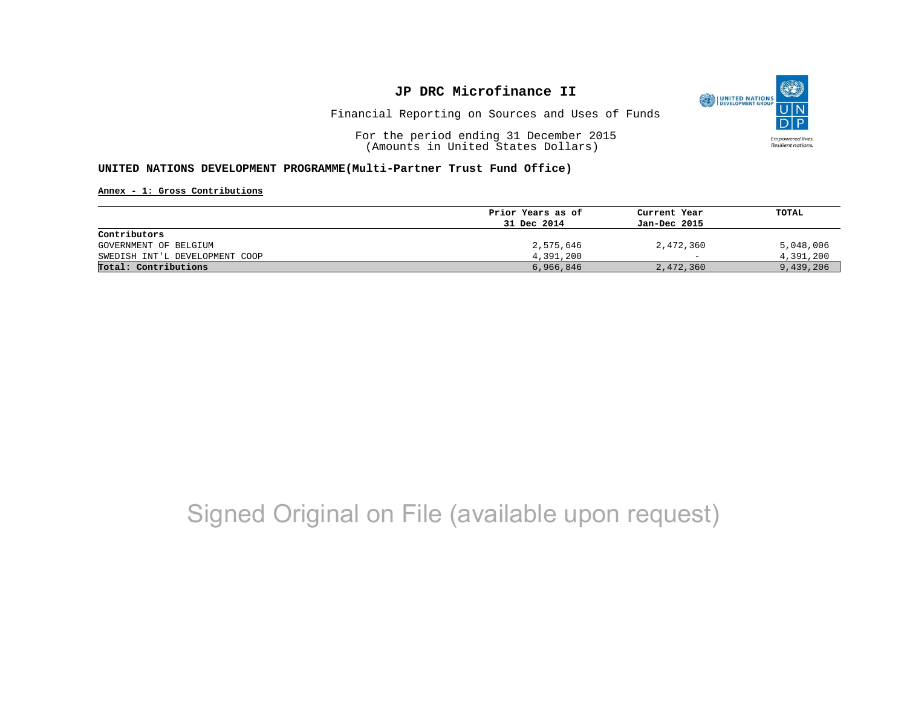

Financial Reporting on Sources and Uses of Funds

For the period ending 31 December 2015 (Amounts in United States Dollars)

#### **UNITED NATIONS DEVELOPMENT PROGRAMME(Multi-Partner Trust Fund Office)**

**Annex - 1: Gross Contributions**

|                                | Prior Years as of | Current Year<br>Jan-Dec 2015 | TOTAL     |
|--------------------------------|-------------------|------------------------------|-----------|
|                                | 31 Dec 2014       |                              |           |
| Contributors                   |                   |                              |           |
| GOVERNMENT OF BELGIUM          | 2,575,646         | 2,472,360                    | 5,048,006 |
| SWEDISH INT'L DEVELOPMENT COOP | 4,391,200         | $\overline{\phantom{0}}$     | 4,391,200 |
| Total: Contributions           | 6,966,846         | 2,472,360                    | 9,439,206 |

## Signed Original on File (available upon request)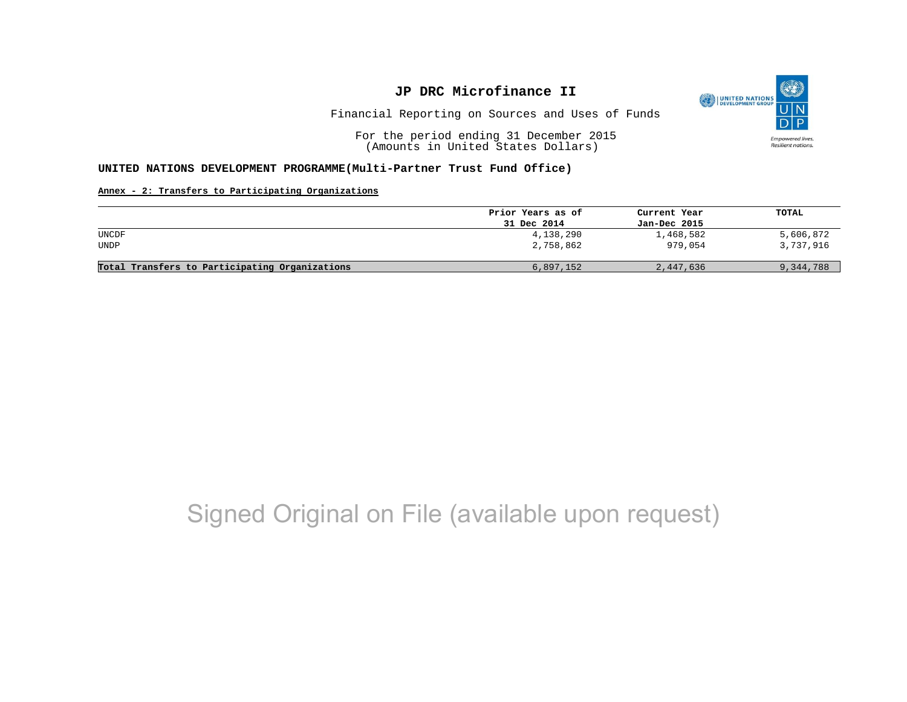

Financial Reporting on Sources and Uses of Funds

For the period ending 31 December 2015 (Amounts in United States Dollars)

#### **UNITED NATIONS DEVELOPMENT PROGRAMME(Multi-Partner Trust Fund Office)**

#### **Annex - 2: Transfers to Participating Organizations**

|                                                | Prior Years as of | Current Year | TOTAL     |
|------------------------------------------------|-------------------|--------------|-----------|
|                                                | 31 Dec 2014       | Jan-Dec 2015 |           |
| UNCDF                                          | 4,138,290         | 1,468,582    | 5,606,872 |
| UNDP                                           | 2,758,862         | 979,054      | 3,737,916 |
|                                                |                   |              |           |
| Total Transfers to Participating Organizations | 6,897,152         | 2,447,636    | 9,344,788 |

## Signed Original on File (available upon request)